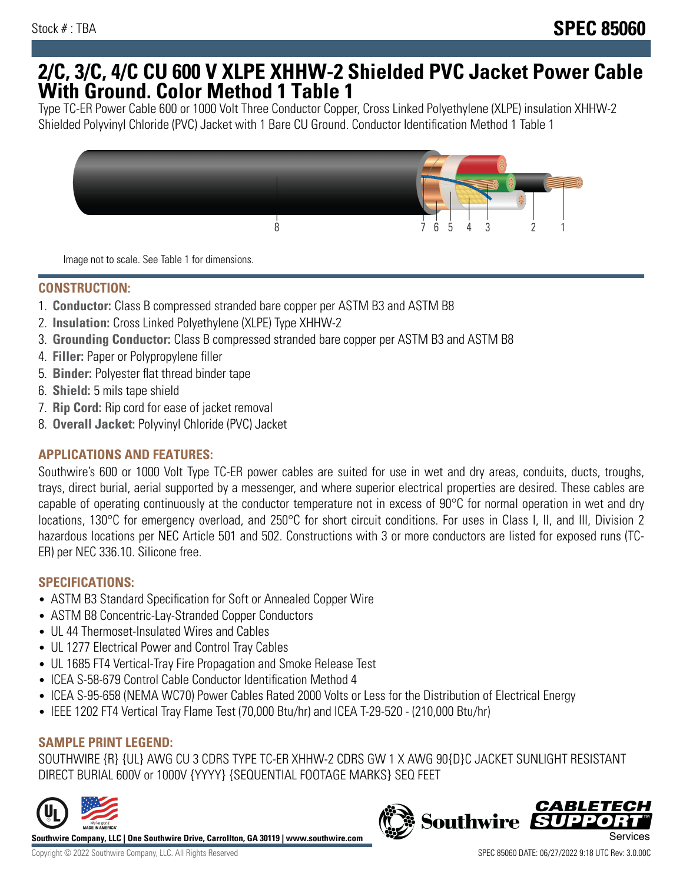## **2/C, 3/C, 4/C CU 600 V XLPE XHHW-2 Shielded PVC Jacket Power Cable With Ground. Color Method 1 Table 1**

Type TC-ER Power Cable 600 or 1000 Volt Three Conductor Copper, Cross Linked Polyethylene (XLPE) insulation XHHW-2 Shielded Polyvinyl Chloride (PVC) Jacket with 1 Bare CU Ground. Conductor Identification Method 1 Table 1



Image not to scale. See Table 1 for dimensions.

#### **CONSTRUCTION:**

- 1. **Conductor:** Class B compressed stranded bare copper per ASTM B3 and ASTM B8
- 2. **Insulation:** Cross Linked Polyethylene (XLPE) Type XHHW-2
- 3. **Grounding Conductor:** Class B compressed stranded bare copper per ASTM B3 and ASTM B8
- 4. **Filler:** Paper or Polypropylene filler
- 5. **Binder:** Polyester flat thread binder tape
- 6. **Shield:** 5 mils tape shield
- 7. **Rip Cord:** Rip cord for ease of jacket removal
- 8. **Overall Jacket:** Polyvinyl Chloride (PVC) Jacket

## **APPLICATIONS AND FEATURES:**

Southwire's 600 or 1000 Volt Type TC-ER power cables are suited for use in wet and dry areas, conduits, ducts, troughs, trays, direct burial, aerial supported by a messenger, and where superior electrical properties are desired. These cables are capable of operating continuously at the conductor temperature not in excess of 90°C for normal operation in wet and dry locations, 130°C for emergency overload, and 250°C for short circuit conditions. For uses in Class I, II, and III, Division 2 hazardous locations per NEC Article 501 and 502. Constructions with 3 or more conductors are listed for exposed runs (TC-ER) per NEC 336.10. Silicone free.

#### **SPECIFICATIONS:**

- ASTM B3 Standard Specification for Soft or Annealed Copper Wire
- ASTM B8 Concentric-Lay-Stranded Copper Conductors
- UL 44 Thermoset-Insulated Wires and Cables
- UL 1277 Electrical Power and Control Tray Cables
- UL 1685 FT4 Vertical-Tray Fire Propagation and Smoke Release Test
- ICEA S-58-679 Control Cable Conductor Identification Method 4
- ICEA S-95-658 (NEMA WC70) Power Cables Rated 2000 Volts or Less for the Distribution of Electrical Energy
- IEEE 1202 FT4 Vertical Tray Flame Test (70,000 Btu/hr) and ICEA T-29-520 (210,000 Btu/hr)

## **SAMPLE PRINT LEGEND:**

SOUTHWIRE {R} {UL} AWG CU 3 CDRS TYPE TC-ER XHHW-2 CDRS GW 1 X AWG 90{D}C JACKET SUNLIGHT RESISTANT DIRECT BURIAL 600V or 1000V {YYYY} {SEQUENTIAL FOOTAGE MARKS} SEQ FEET



**Southwire Company, LLC | One Southwire Drive, Carrollton, GA 30119 | www.southwire.com**